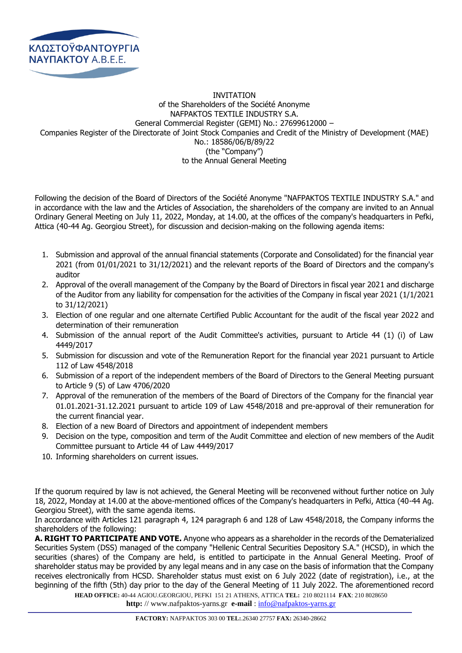

## INVITATION of the Shareholders of the Société Anonyme NAFPAKTOS TEXTILE INDUSTRY S.A. General Commercial Register (GEMI) No.: 27699612000 – Companies Register of the Directorate of Joint Stock Companies and Credit of the Ministry of Development (MAE) No.: 18586/06/B/89/22 (the "Company") to the Annual General Meeting

Following the decision of the Board of Directors of the Société Anonyme "NAFPAKTOS TEXTILE INDUSTRY S.A." and in accordance with the law and the Articles of Association, the shareholders of the company are invited to an Annual Ordinary General Meeting on July 11, 2022, Monday, at 14.00, at the offices of the company's headquarters in Pefki, Attica (40-44 Ag. Georgiou Street), for discussion and decision-making on the following agenda items:

- 1. Submission and approval of the annual financial statements (Corporate and Consolidated) for the financial year 2021 (from 01/01/2021 to 31/12/2021) and the relevant reports of the Board of Directors and the company's auditor
- 2. Approval of the overall management of the Company by the Board of Directors in fiscal year 2021 and discharge of the Auditor from any liability for compensation for the activities of the Company in fiscal year 2021 (1/1/2021 to 31/12/2021)
- 3. Election of one regular and one alternate Certified Public Accountant for the audit of the fiscal year 2022 and determination of their remuneration
- 4. Submission of the annual report of the Audit Committee's activities, pursuant to Article 44 (1) (i) of Law 4449/2017
- 5. Submission for discussion and vote of the Remuneration Report for the financial year 2021 pursuant to Article 112 of Law 4548/2018
- 6. Submission of a report of the independent members of the Board of Directors to the General Meeting pursuant to Article 9 (5) of Law 4706/2020
- 7. Approval of the remuneration of the members of the Board of Directors of the Company for the financial year 01.01.2021-31.12.2021 pursuant to article 109 of Law 4548/2018 and pre-approval of their remuneration for the current financial year.
- 8. Εlection of a new Board of Directors and appointment of independent members
- 9. Decision on the type, composition and term of the Audit Committee and election of new members of the Audit Committee pursuant to Article 44 of Law 4449/2017
- 10. Informing shareholders on current issues.

If the quorum required by law is not achieved, the General Meeting will be reconvened without further notice on July 18, 2022, Monday at 14.00 at the above-mentioned offices of the Company's headquarters in Pefki, Attica (40-44 Ag. Georgiou Street), with the same agenda items.

In accordance with Articles 121 paragraph 4, 124 paragraph 6 and 128 of Law 4548/2018, the Company informs the shareholders of the following:

**Α. RIGHT TO PARTICIPATE AND VOTE.** Anyone who appears as a shareholder in the records of the Dematerialized Securities System (DSS) managed of the company "Hellenic Central Securities Depository S.A." (HCSD), in which the securities (shares) of the Company are held, is entitled to participate in the Annual General Meeting. Proof of shareholder status may be provided by any legal means and in any case on the basis of information that the Company receives electronically from HCSD. Shareholder status must exist on 6 July 2022 (date of registration), i.e., at the beginning of the fifth (5th) day prior to the day of the General Meeting of 11 July 2022. The aforementioned record

**HEAD OFFICE:** 40-44 AGIOU.GEORGIOU, PEFKI 151 21 ATHENS, ATTICA **TEL:** 210 8021114 **FAX**: 210 8028650

**http:** // www.nafpaktos-yarns.gr **e-mail** [: info@nafpaktos-yarns.gr](mailto:info@nafpaktos-yarns.gr)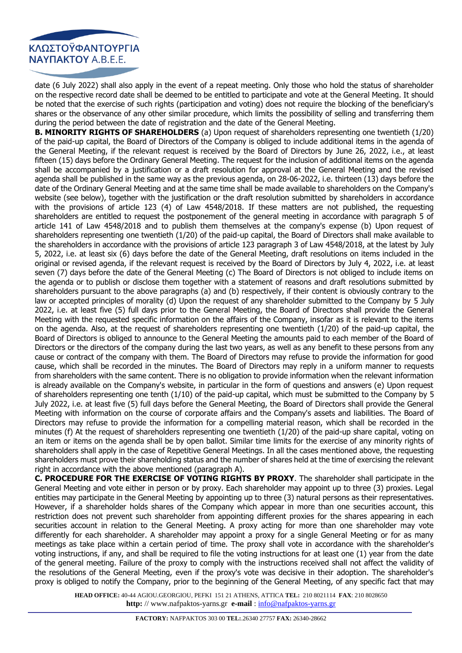

date (6 July 2022) shall also apply in the event of a repeat meeting. Only those who hold the status of shareholder on the respective record date shall be deemed to be entitled to participate and vote at the General Meeting. It should be noted that the exercise of such rights (participation and voting) does not require the blocking of the beneficiary's shares or the observance of any other similar procedure, which limits the possibility of selling and transferring them during the period between the date of registration and the date of the General Meeting.

**B. MINORITY RIGHTS OF SHAREHOLDERS** (a) Upon request of shareholders representing one twentieth (1/20) of the paid-up capital, the Board of Directors of the Company is obliged to include additional items in the agenda of the General Meeting, if the relevant request is received by the Board of Directors by June 26, 2022, i.e., at least fifteen (15) days before the Ordinary General Meeting. The request for the inclusion of additional items on the agenda shall be accompanied by a justification or a draft resolution for approval at the General Meeting and the revised agenda shall be published in the same way as the previous agenda, on 28-06-2022, i.e. thirteen (13) days before the date of the Ordinary General Meeting and at the same time shall be made available to shareholders on the Company's website (see below), together with the justification or the draft resolution submitted by shareholders in accordance with the provisions of article 123 (4) of Law 4548/2018. If these matters are not published, the requesting shareholders are entitled to request the postponement of the general meeting in accordance with paragraph 5 of article 141 of Law 4548/2018 and to publish them themselves at the company's expense (b) Upon request of shareholders representing one twentieth (1/20) of the paid-up capital, the Board of Directors shall make available to the shareholders in accordance with the provisions of article 123 paragraph 3 of Law 4548/2018, at the latest by July 5, 2022, i.e. at least six (6) days before the date of the General Meeting, draft resolutions on items included in the original or revised agenda, if the relevant request is received by the Board of Directors by July 4, 2022, i.e. at least seven (7) days before the date of the General Meeting (c) The Board of Directors is not obliged to include items on the agenda or to publish or disclose them together with a statement of reasons and draft resolutions submitted by shareholders pursuant to the above paragraphs (a) and (b) respectively, if their content is obviously contrary to the law or accepted principles of morality (d) Upon the request of any shareholder submitted to the Company by 5 July 2022, i.e. at least five (5) full days prior to the General Meeting, the Board of Directors shall provide the General Meeting with the requested specific information on the affairs of the Company, insofar as it is relevant to the items on the agenda. Also, at the request of shareholders representing one twentieth (1/20) of the paid-up capital, the Board of Directors is obliged to announce to the General Meeting the amounts paid to each member of the Board of Directors or the directors of the company during the last two years, as well as any benefit to these persons from any cause or contract of the company with them. The Board of Directors may refuse to provide the information for good cause, which shall be recorded in the minutes. The Board of Directors may reply in a uniform manner to requests from shareholders with the same content. There is no obligation to provide information when the relevant information is already available on the Company's website, in particular in the form of questions and answers (e) Upon request of shareholders representing one tenth (1/10) of the paid-up capital, which must be submitted to the Company by 5 July 2022, i.e. at least five (5) full days before the General Meeting, the Board of Directors shall provide the General Meeting with information on the course of corporate affairs and the Company's assets and liabilities. The Board of Directors may refuse to provide the information for a compelling material reason, which shall be recorded in the minutes (f) At the request of shareholders representing one twentieth (1/20) of the paid-up share capital, voting on an item or items on the agenda shall be by open ballot. Similar time limits for the exercise of any minority rights of shareholders shall apply in the case of Repetitive General Meetings. In all the cases mentioned above, the requesting shareholders must prove their shareholding status and the number of shares held at the time of exercising the relevant right in accordance with the above mentioned (paragraph A).

**C. PROCEDURE FOR THE EXERCISE OF VOTING RIGHTS BY PROXY**. The shareholder shall participate in the General Meeting and vote either in person or by proxy. Each shareholder may appoint up to three (3) proxies. Legal entities may participate in the General Meeting by appointing up to three (3) natural persons as their representatives. However, if a shareholder holds shares of the Company which appear in more than one securities account, this restriction does not prevent such shareholder from appointing different proxies for the shares appearing in each securities account in relation to the General Meeting. A proxy acting for more than one shareholder may vote differently for each shareholder. A shareholder may appoint a proxy for a single General Meeting or for as many meetings as take place within a certain period of time. The proxy shall vote in accordance with the shareholder's voting instructions, if any, and shall be required to file the voting instructions for at least one (1) year from the date of the general meeting. Failure of the proxy to comply with the instructions received shall not affect the validity of the resolutions of the General Meeting, even if the proxy's vote was decisive in their adoption. The shareholder's proxy is obliged to notify the Company, prior to the beginning of the General Meeting, of any specific fact that may

**HEAD OFFICE:** 40-44 AGIOU.GEORGIOU, PEFKI 151 21 ATHENS, ATTICA **TEL:** 210 8021114 **FAX**: 210 8028650 **http:** // www.nafpaktos-yarns.gr **e-mail** [: info@nafpaktos-yarns.gr](mailto:info@nafpaktos-yarns.gr)